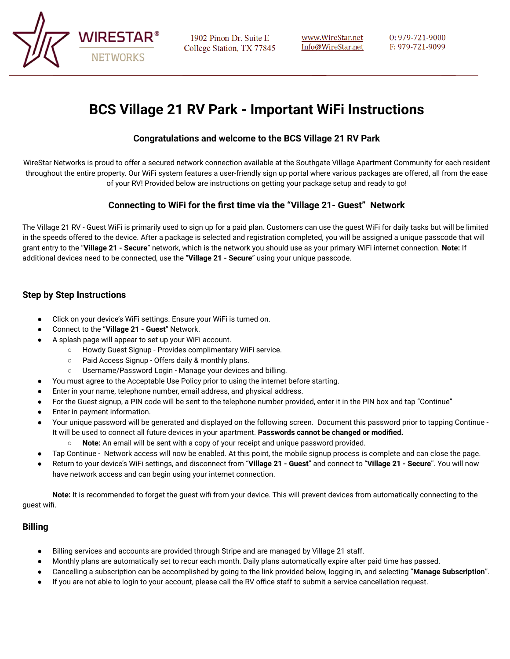

1902 Pinon Dr. Suite E College Station, TX 77845 0:979-721-9000 F: 979-721-9099

# **BCS Village 21 RV Park - Important WiFi Instructions**

### **Congratulations and welcome to the BCS Village 21 RV Park**

WireStar Networks is proud to offer a secured network connection available at the Southgate Village Apartment Community for each resident throughout the entire property. Our WiFi system features a user-friendly sign up portal where various packages are offered, all from the ease of your RV! Provided below are instructions on getting your package setup and ready to go!

# **Connecting to WiFi for the first time via the "Village 21- Guest" Network**

The Village 21 RV - Guest WiFi is primarily used to sign up for a paid plan. Customers can use the guest WiFi for daily tasks but will be limited in the speeds offered to the device. After a package is selected and registration completed, you will be assigned a unique passcode that will grant entry to the "**Village 21 - Secure**" network, which is the network you should use as your primary WiFi internet connection. **Note:** If additional devices need to be connected, use the "**Village 21 - Secure**" using your unique passcode.

## **Step by Step Instructions**

- Click on your device's WiFi settings. Ensure your WiFi is turned on.
- Connect to the "**Village 21 Guest**" Network.
- A splash page will appear to set up your WiFi account.
	- Howdy Guest Signup Provides complimentary WiFi service.
		- Paid Access Signup Offers daily & monthly plans.
	- Username/Password Login Manage your devices and billing.
- You must agree to the Acceptable Use Policy prior to using the internet before starting.
- Enter in your name, telephone number, email address, and physical address.
- For the Guest signup, a PIN code will be sent to the telephone number provided, enter it in the PIN box and tap "Continue"
- Enter in payment information.
- Your unique password will be generated and displayed on the following screen. Document this password prior to tapping Continue It will be used to connect all future devices in your apartment. **Passwords cannot be changed or modified.**
	- **Note:** An email will be sent with a copy of your receipt and unique password provided.
- Tap Continue Network access will now be enabled. At this point, the mobile signup process is complete and can close the page.
- Return to your device's WiFi settings, and disconnect from "**Village 21 Guest**" and connect to "**Village 21 Secure**". You will now have network access and can begin using your internet connection.

**Note:** It is recommended to forget the guest wifi from your device. This will prevent devices from automatically connecting to the guest wifi.

#### **Billing**

- Billing services and accounts are provided through Stripe and are managed by Village 21 staff.
- Monthly plans are automatically set to recur each month. Daily plans automatically expire after paid time has passed.
- Cancelling a subscription can be accomplished by going to the link provided below, logging in, and selecting "**Manage Subscription**".
- If you are not able to login to your account, please call the RV office staff to submit a service cancellation request.